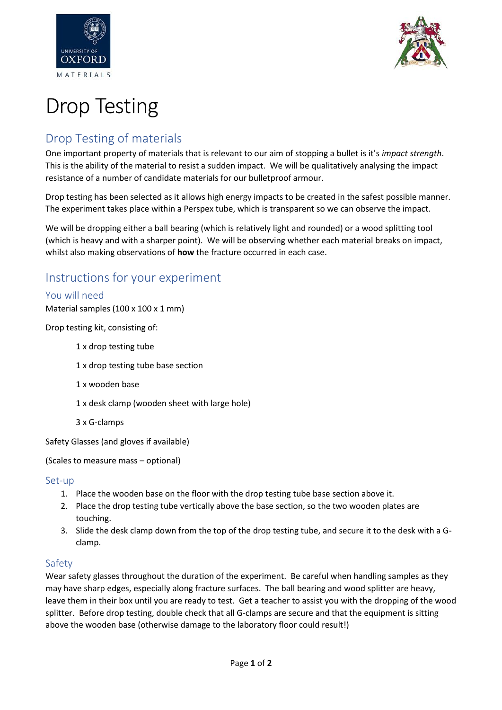



# Drop Testing

# Drop Testing of materials

One important property of materials that is relevant to our aim of stopping a bullet is it's *impact strength*. This is the ability of the material to resist a sudden impact. We will be qualitatively analysing the impact resistance of a number of candidate materials for our bulletproof armour.

Drop testing has been selected as it allows high energy impacts to be created in the safest possible manner. The experiment takes place within a Perspex tube, which is transparent so we can observe the impact.

We will be dropping either a ball bearing (which is relatively light and rounded) or a wood splitting tool (which is heavy and with a sharper point). We will be observing whether each material breaks on impact, whilst also making observations of **how** the fracture occurred in each case.

# Instructions for your experiment

## You will need

Material samples  $(100 \times 100 \times 1 \text{ mm})$ 

Drop testing kit, consisting of:

- 1 x drop testing tube
- 1 x drop testing tube base section
- 1 x wooden base
- 1 x desk clamp (wooden sheet with large hole)
- 3 x G-clamps

Safety Glasses (and gloves if available)

(Scales to measure mass – optional)

#### Set-up

- 1. Place the wooden base on the floor with the drop testing tube base section above it.
- 2. Place the drop testing tube vertically above the base section, so the two wooden plates are touching.
- 3. Slide the desk clamp down from the top of the drop testing tube, and secure it to the desk with a Gclamp.

## Safety

Wear safety glasses throughout the duration of the experiment. Be careful when handling samples as they may have sharp edges, especially along fracture surfaces. The ball bearing and wood splitter are heavy, leave them in their box until you are ready to test. Get a teacher to assist you with the dropping of the wood splitter. Before drop testing, double check that all G-clamps are secure and that the equipment is sitting above the wooden base (otherwise damage to the laboratory floor could result!)